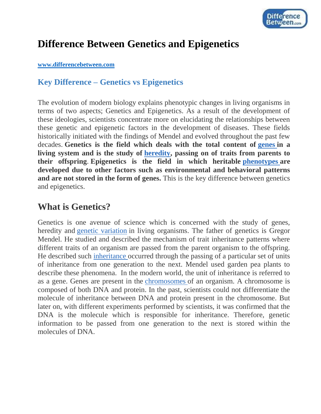

# **Difference Between Genetics and Epigenetics**

#### **[www.differencebetween.com](http://www.differencebetween.com/)**

### **Key Difference – Genetics vs Epigenetics**

The evolution of modern biology explains phenotypic changes in living organisms in terms of two aspects; Genetics and Epigenetics. As a result of the development of these ideologies, scientists concentrate more on elucidating the relationships between these genetic and epigenetic factors in the development of diseases. These fields historically initiated with the findings of Mendel and evolved throughout the past few decades. **Genetics is the field which deals with the total content of [genes](http://www.differencebetween.com/difference-between-gene-and-vs-chromosome/) in a living system and is the study of [heredity,](http://www.differencebetween.com/difference-between-genetics-and-vs-heredity/) passing on of traits from parents to their offspring**. **Epigenetics is the field in which heritable [phenotypes](http://www.differencebetween.com/difference-between-genotype-and-vs-phenotype/) are developed due to other factors such as environmental and behavioral patterns and are not stored in the form of genes.** This is the key difference between genetics and epigenetics.

## **What is Genetics?**

Genetics is one avenue of science which is concerned with the study of genes, heredity and [genetic variation](http://www.differencebetween.com/difference-between-genetic-variation-and-vs-environmental-variation/) in living organisms. The father of genetics is Gregor Mendel. He studied and described the mechanism of trait inheritance patterns where different traits of an organism are passed from the parent organism to the offspring. He described such [inheritance](http://www.differencebetween.com/difference-between-polymorphism-and-vs-inheritance/) occurred through the passing of a particular set of units of inheritance from one generation to the next. Mendel used garden pea plants to describe these phenomena. In the modern world, the unit of inheritance is referred to as a gene. Genes are present in the [chromosomes](http://www.differencebetween.com/difference-between-chromatin-and-vs-chromosomes/) of an organism. A chromosome is composed of both DNA and protein. In the past, scientists could not differentiate the molecule of inheritance between DNA and protein present in the chromosome. But later on, with different experiments performed by scientists, it was confirmed that the DNA is the molecule which is responsible for inheritance. Therefore, genetic information to be passed from one generation to the next is stored within the molecules of DNA.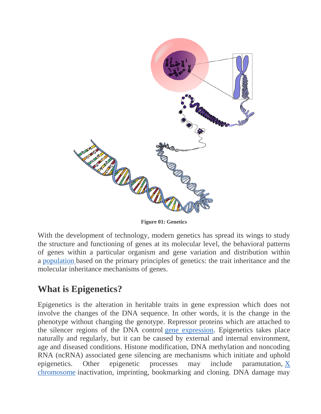

**Figure 01: Genetics**

With the development of technology, modern genetics has spread its wings to study the structure and functioning of genes at its molecular level, the behavioral patterns of genes within a particular organism and gene variation and distribution within a [population](http://www.differencebetween.com/difference-between-population-and-community/) based on the primary principles of genetics: the trait inheritance and the molecular inheritance mechanisms of genes.

# **What is Epigenetics?**

Epigenetics is the alteration in heritable traits in gene expression which does not involve the changes of the DNA sequence. In other words, it is the change in the phenotype without changing the genotype. Repressor proteins which are attached to the silencer regions of the DNA control [gene expression.](http://www.differencebetween.com/difference-between-gene-expression-and-vs-gene-regulation/) Epigenetics takes place naturally and regularly, but it can be caused by external and internal environment, age and diseased conditions. Histone modification, DNA methylation and noncoding RNA (ncRNA) associated gene silencing are mechanisms which initiate and uphold epigenetics. Other epigenetic processes may include paramutation, [X](http://www.differencebetween.com/difference-between-x-and-vs-y-chromosomes/)  [chromosome](http://www.differencebetween.com/difference-between-x-and-vs-y-chromosomes/) inactivation, imprinting, bookmarking and cloning. DNA damage may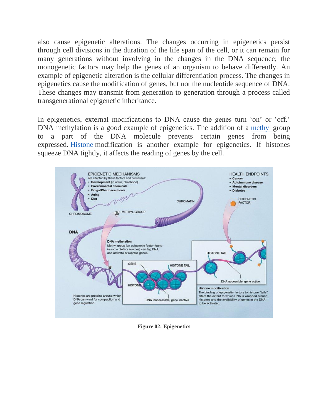also cause epigenetic alterations. The changes occurring in epigenetics persist through cell divisions in the duration of the life span of the cell, or it can remain for many generations without involving in the changes in the DNA sequence; the monogenetic factors may help the genes of an organism to behave differently. An example of epigenetic alteration is the cellular differentiation process. The changes in epigenetics cause the modification of genes, but not the nucleotide sequence of DNA. These changes may transmit from generation to generation through a process called transgenerational epigenetic inheritance.

In epigenetics, external modifications to DNA cause the genes turn 'on' or 'off.' DNA [methyl](http://www.differencebetween.com/difference-between-ethyl-and-vs-methyl/)ation is a good example of epigenetics. The addition of a methyl group to a part of the DNA molecule prevents certain genes from being expressed. [Histone](http://www.differencebetween.com/difference-between-histone-and-vs-nonhistone-proteins/) modification is another example for epigenetics. If histones squeeze DNA tightly, it affects the reading of genes by the cell.



**Figure 02: Epigenetics**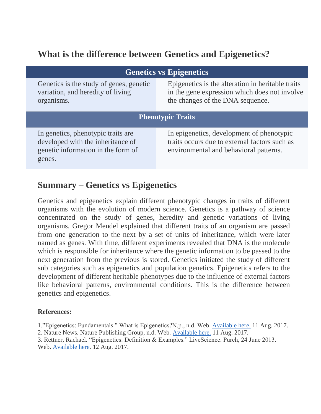# **What is the difference between Genetics and Epigenetics?**

| <b>Genetics vs Epigenetics</b>                                                                                          |                                                                                                                                        |
|-------------------------------------------------------------------------------------------------------------------------|----------------------------------------------------------------------------------------------------------------------------------------|
| Genetics is the study of genes, genetic<br>variation, and heredity of living<br>organisms.                              | Epigenetics is the alteration in heritable traits<br>in the gene expression which does not involve<br>the changes of the DNA sequence. |
| <b>Phenotypic Traits</b>                                                                                                |                                                                                                                                        |
| In genetics, phenotypic traits are<br>developed with the inheritance of<br>genetic information in the form of<br>genes. | In epigenetics, development of phenotypic<br>traits occurs due to external factors such as<br>environmental and behavioral patterns.   |

### **Summary – Genetics vs Epigenetics**

Genetics and epigenetics explain different phenotypic changes in traits of different organisms with the evolution of modern science. Genetics is a pathway of science concentrated on the study of genes, heredity and genetic variations of living organisms. Gregor Mendel explained that different traits of an organism are passed from one generation to the next by a set of units of inheritance, which were later named as genes. With time, different experiments revealed that DNA is the molecule which is responsible for inheritance where the genetic information to be passed to the next generation from the previous is stored. Genetics initiated the study of different sub categories such as epigenetics and population genetics. Epigenetics refers to the development of different heritable phenotypes due to the influence of external factors like behavioral patterns, environmental conditions. This is the difference between genetics and epigenetics.

#### **References:**

1."Epigenetics: Fundamentals." What is Epigenetics?N.p., n.d. Web. [Available here.](https://www.whatisepigenetics.com/fundamentals/) 11 Aug. 2017.

<sup>2.</sup> Nature News. Nature Publishing Group, n.d. Web. [Available here.](https://www.nature.com/subjects/genetics) 11 Aug. 2017.

<sup>3.</sup> Rettner, Rachael. "Epigenetics: Definition & Examples." LiveScience. Purch, 24 June 2013. Web. [Available here.](https://www.livescience.com/37703-epigenetics.html) 12 Aug. 2017.